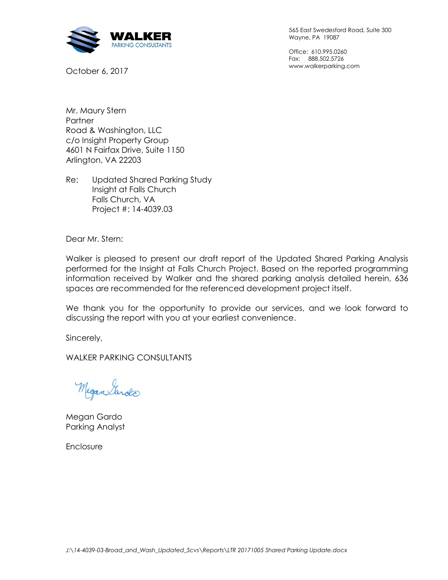

October 6, 2017

565 East Swedesford Road, Suite 300 Wayne, PA 19087

Office: 610.995.0260 Fax: 888.502.5726 www.walkerparking.com

Mr. Maury Stern **Partner** Road & Washington, LLC c/o Insight Property Group 4601 N Fairfax Drive, Suite 1150 Arlington, VA 22203

Re: Updated Shared Parking Study Insight at Falls Church Falls Church, VA Project #: 14-4039.03

Dear Mr. Stern:

Walker is pleased to present our draft report of the Updated Shared Parking Analysis performed for the Insight at Falls Church Project. Based on the reported programming information received by Walker and the shared parking analysis detailed herein, 636 spaces are recommended for the referenced development project itself.

We thank you for the opportunity to provide our services, and we look forward to discussing the report with you at your earliest convenience.

Sincerely,

WALKER PARKING CONSULTANTS

Megan Sarda

Megan Gardo Parking Analyst

Enclosure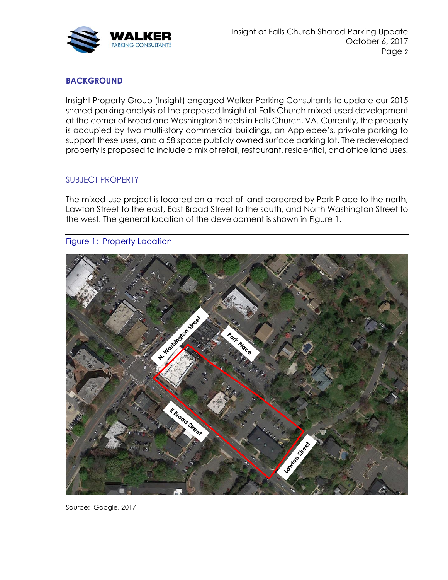

## **BACKGROUND**

Insight Property Group (Insight) engaged Walker Parking Consultants to update our 2015 shared parking analysis of the proposed Insight at Falls Church mixed-used development at the corner of Broad and Washington Streets in Falls Church, VA. Currently, the property is occupied by two multi-story commercial buildings, an Applebee's, private parking to support these uses, and a 58 space publicly owned surface parking lot. The redeveloped property is proposed to include a mix of retail, restaurant, residential, and office land uses.

## SUBJECT PROPERTY

The mixed-use project is located on a tract of land bordered by Park Place to the north, Lawton Street to the east, East Broad Street to the south, and North Washington Street to the west. The general location of the development is shown in Figure 1.

Figure 1: Property Location



Source: Google, 2017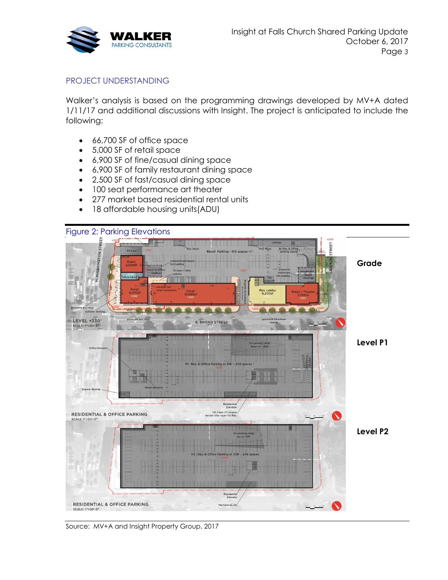

### PROJECT UNDERSTANDING

Walker's analysis is based on the programming drawings developed by MV+A dated 1/11/17 and additional discussions with Insight. The project is anticipated to include the following:

- 66,700 SF of office space
- 5,000 SF of retail space
- 6,900 SF of fine/casual dining space
- 6,900 SF of family restaurant dining space
- 2,500 SF of fast/casual dining space
- 100 seat performance art theater
- 277 market based residential rental units
- 18 affordable housing units(ADU)



Source: MV+A and Insight Property Group, 2017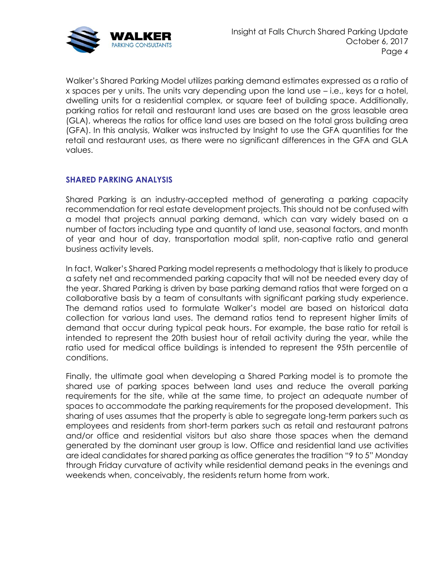

Walker's Shared Parking Model utilizes parking demand estimates expressed as a ratio of x spaces per y units. The units vary depending upon the land use – i.e., keys for a hotel, dwelling units for a residential complex, or square feet of building space. Additionally, parking ratios for retail and restaurant land uses are based on the gross leasable area (GLA), whereas the ratios for office land uses are based on the total gross building area (GFA). In this analysis, Walker was instructed by Insight to use the GFA quantities for the retail and restaurant uses, as there were no significant differences in the GFA and GLA values.

### **SHARED PARKING ANALYSIS**

Shared Parking is an industry-accepted method of generating a parking capacity recommendation for real estate development projects. This should not be confused with a model that projects annual parking demand, which can vary widely based on a number of factors including type and quantity of land use, seasonal factors, and month of year and hour of day, transportation modal split, non-captive ratio and general business activity levels.

In fact, Walker's Shared Parking model represents a methodology that is likely to produce a safety net and recommended parking capacity that will not be needed every day of the year. Shared Parking is driven by base parking demand ratios that were forged on a collaborative basis by a team of consultants with significant parking study experience. The demand ratios used to formulate Walker's model are based on historical data collection for various land uses. The demand ratios tend to represent higher limits of demand that occur during typical peak hours. For example, the base ratio for retail is intended to represent the 20th busiest hour of retail activity during the year, while the ratio used for medical office buildings is intended to represent the 95th percentile of conditions.

Finally, the ultimate goal when developing a Shared Parking model is to promote the shared use of parking spaces between land uses and reduce the overall parking requirements for the site, while at the same time, to project an adequate number of spaces to accommodate the parking requirements for the proposed development. This sharing of uses assumes that the property is able to segregate long-term parkers such as employees and residents from short-term parkers such as retail and restaurant patrons and/or office and residential visitors but also share those spaces when the demand generated by the dominant user group is low. Office and residential land use activities are ideal candidates for shared parking as office generates the tradition "9 to 5" Monday through Friday curvature of activity while residential demand peaks in the evenings and weekends when, conceivably, the residents return home from work.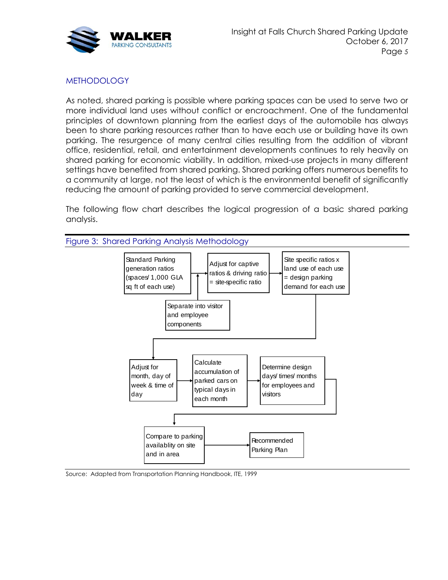

## **METHODOLOGY**

As noted, shared parking is possible where parking spaces can be used to serve two or more individual land uses without conflict or encroachment. One of the fundamental principles of downtown planning from the earliest days of the automobile has always been to share parking resources rather than to have each use or building have its own parking. The resurgence of many central cities resulting from the addition of vibrant office, residential, retail, and entertainment developments continues to rely heavily on shared parking for economic viability. In addition, mixed-use projects in many different settings have benefited from shared parking. Shared parking offers numerous benefits to a community at large, not the least of which is the environmental benefit of significantly reducing the amount of parking provided to serve commercial development.

The following flow chart describes the logical progression of a basic shared parking analysis.



Source: Adapted from Transportation Planning Handbook, ITE, 1999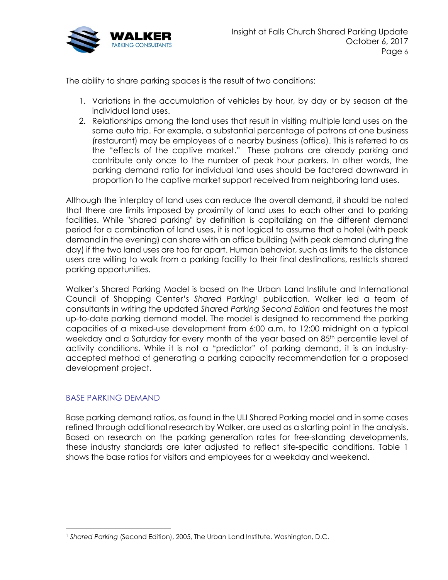

The ability to share parking spaces is the result of two conditions:

- 1. Variations in the accumulation of vehicles by hour, by day or by season at the individual land uses.
- 2. Relationships among the land uses that result in visiting multiple land uses on the same auto trip. For example, a substantial percentage of patrons at one business (restaurant) may be employees of a nearby business (office). This is referred to as the "effects of the captive market." These patrons are already parking and contribute only once to the number of peak hour parkers. In other words, the parking demand ratio for individual land uses should be factored downward in proportion to the captive market support received from neighboring land uses.

Although the interplay of land uses can reduce the overall demand, it should be noted that there are limits imposed by proximity of land uses to each other and to parking facilities. While "shared parking" by definition is capitalizing on the different demand period for a combination of land uses, it is not logical to assume that a hotel (with peak demand in the evening) can share with an office building (with peak demand during the day) if the two land uses are too far apart. Human behavior, such as limits to the distance users are willing to walk from a parking facility to their final destinations, restricts shared parking opportunities.

Walker's Shared Parking Model is based on the Urban Land Institute and International Council of Shopping Center's *Shared Parking*<sup>1</sup> publication. Walker led a team of consultants in writing the updated *Shared Parking Second Edition* and features the most up-to-date parking demand model. The model is designed to recommend the parking capacities of a mixed-use development from 6:00 a.m. to 12:00 midnight on a typical weekday and a Saturday for every month of the year based on 85<sup>th</sup> percentile level of activity conditions. While it is not a "predictor" of parking demand, it is an industryaccepted method of generating a parking capacity recommendation for a proposed development project.

### BASE PARKING DEMAND

Base parking demand ratios, as found in the ULI Shared Parking model and in some cases refined through additional research by Walker, are used as a starting point in the analysis. Based on research on the parking generation rates for free-standing developments, these industry standards are later adjusted to reflect site-specific conditions. [Table 1](#page-6-0) shows the base ratios for visitors and employees for a weekday and weekend.

<sup>1</sup> *Shared Parking* (Second Edition), 2005, The Urban Land Institute, Washington, D.C.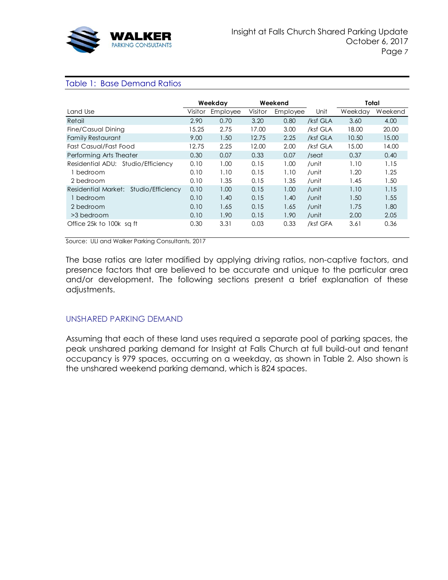

### <span id="page-6-0"></span>Table 1: Base Demand Ratios

|                                       |         | Weekday  | Weekend |          |          | Total   |         |
|---------------------------------------|---------|----------|---------|----------|----------|---------|---------|
| Land Use                              | Visitor | Employee | Visitor | Employee | Unit     | Weekday | Weekend |
| Retail                                | 2.90    | 0.70     | 3.20    | 0.80     | /ksf GLA | 3.60    | 4.00    |
| Fine/Casual Dining                    | 15.25   | 2.75     | 17.00   | 3.00     | /ksf GLA | 18.00   | 20.00   |
| <b>Family Restaurant</b>              | 9.00    | 1.50     | 12.75   | 2.25     | /ksf GLA | 10.50   | 15.00   |
| Fast Casual/Fast Food                 | 12.75   | 2.25     | 12.00   | 2.00     | /ksf GLA | 15.00   | 14.00   |
| Performing Arts Theater               | 0.30    | 0.07     | 0.33    | 0.07     | /seat    | 0.37    | 0.40    |
| Residential ADU: Studio/Efficiency    | 0.10    | 1.00     | 0.15    | 1.00     | /unit    | 1.10    | 1.15    |
| 1 bedroom                             | 0.10    | 1.10     | 0.15    | 1.10     | /unit    | 1.20    | 1.25    |
| 2 bedroom                             | 0.10    | 1.35     | 0.15    | 1.35     | /unit    | 1.45    | 1.50    |
| Residential Market: Studio/Efficiency | 0.10    | 1.00     | 0.15    | 1.00     | /unit    | 1.10    | 1.15    |
| 1 bedroom                             | 0.10    | 1.40     | 0.15    | 1.40     | /unit    | 1.50    | 1.55    |
| 2 bedroom                             | 0.10    | 1.65     | 0.15    | 1.65     | /unit    | 1.75    | 1.80    |
| >3 bedroom                            | 0.10    | 1.90     | 0.15    | 1.90     | /unit    | 2.00    | 2.05    |
| Office 25k to 100k sq ft              | 0.30    | 3.31     | 0.03    | 0.33     | /ksf GFA | 3.61    | 0.36    |

Source: ULI and Walker Parking Consultants, 2017

The base ratios are later modified by applying driving ratios, non-captive factors, and presence factors that are believed to be accurate and unique to the particular area and/or development. The following sections present a brief explanation of these adjustments.

### UNSHARED PARKING DEMAND

Assuming that each of these land uses required a separate pool of parking spaces, the peak unshared parking demand for Insight at Falls Church at full build-out and tenant occupancy is 979 spaces, occurring on a weekday, as shown in [Table 2.](#page-7-0) Also shown is the unshared weekend parking demand, which is 824 spaces.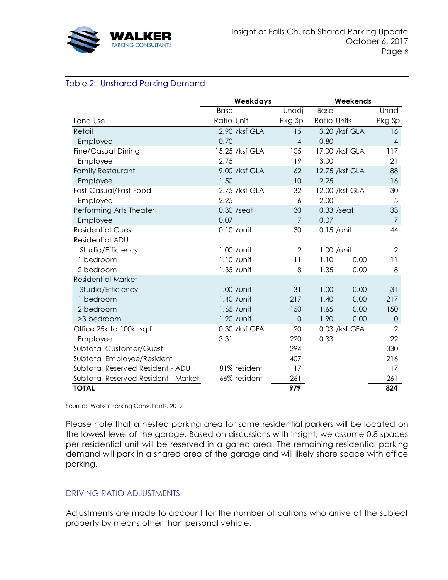

### <span id="page-7-0"></span>Table 2: Unshared Parking Demand

|                                     | Weekdays       |                | Weekends       |                |  |
|-------------------------------------|----------------|----------------|----------------|----------------|--|
|                                     | <b>Base</b>    | Unadj          | <b>Base</b>    | Unadj          |  |
| Land Use                            | Ratio Unit     | Pkg Sp         | Ratio Units    | Pkg Sp         |  |
| Retail                              | 2.90 /ksf GLA  | 15             | 3.20 /ksf GLA  | 16             |  |
| Employee                            | 0.70           | $\overline{4}$ | 0.80           | $\overline{4}$ |  |
| Fine/Casual Dining                  | 15.25 /ksf GLA | 105            | 17.00 /ksf GLA | 117            |  |
| Employee                            | 2.75           | 19             | 3.00           | 21             |  |
| <b>Family Restaurant</b>            | 9.00 /ksf GLA  | 62             | 12.75 /ksf GLA | 88             |  |
| Employee                            | 1.50           | 10             | 2.25           | 16             |  |
| Fast Casual/Fast Food               | 12.75 /ksf GLA | 32             | 12.00 /ksf GLA | 30             |  |
| Employee                            | 2.25           | 6              | 2.00           | 5              |  |
| Performing Arts Theater             | $0.30$ /seat   | 30             | $0.33$ /seat   | 33             |  |
| Employee                            | 0.07           | $\overline{7}$ | 0.07           | $\overline{7}$ |  |
| <b>Residential Guest</b>            | $0.10$ / unit  | 30             | $0.15$ / unit  | 44             |  |
| Residential ADU                     |                |                |                |                |  |
| Studio/Efficiency                   | $1.00$ / unit  | $\overline{2}$ | $1.00$ / unit  | $\overline{2}$ |  |
| 1 bedroom                           | $1.10$ / unit  | 11             | 1.10<br>0.00   | 11             |  |
| 2 bedroom                           | 1.35 / unit    | 8              | 1.35<br>0.00   | 8              |  |
| <b>Residential Market</b>           |                |                |                |                |  |
| Studio/Efficiency                   | $1.00$ / unit  | 31             | 1.00<br>0.00   | 31             |  |
| 1 bedroom                           | $1.40$ / unit  | 217            | 0.00<br>1.40   | 217            |  |
| 2 bedroom                           | $1.65$ / unit  | 150            | 1.65<br>0.00   | 150            |  |
| >3 bedroom                          | 1.90 / unit    | $\Omega$       | 1.90<br>0.00   | $\overline{0}$ |  |
| Office 25k to 100k sq ft            | 0.30 /ksf GFA  | 20             | 0.03 /ksf GFA  | $\overline{2}$ |  |
| Employee                            | 3.31           | 220            | 0.33           | 22             |  |
| <b>Subtotal Customer/Guest</b>      |                | 294            |                | 330            |  |
| Subtotal Employee/Resident          |                | 407            |                | 216            |  |
| Subtotal Reserved Resident - ADU    | 81% resident   | 17             |                | 17             |  |
| Subtotal Reserved Resident - Market | 66% resident   | 261            |                | 261            |  |
| <b>TOTAL</b>                        |                | 979            |                | 824            |  |

Source: Walker Parking Consultants, 2017

Please note that a nested parking area for some residential parkers will be located on the lowest level of the garage. Based on discussions with Insight, we assume 0.8 spaces per residential unit will be reserved in a gated area. The remaining residential parking demand will park in a shared area of the garage and will likely share space with office parking.

### DRIVING RATIO ADJUSTMENTS

Adjustments are made to account for the number of patrons who arrive at the subject property by means other than personal vehicle.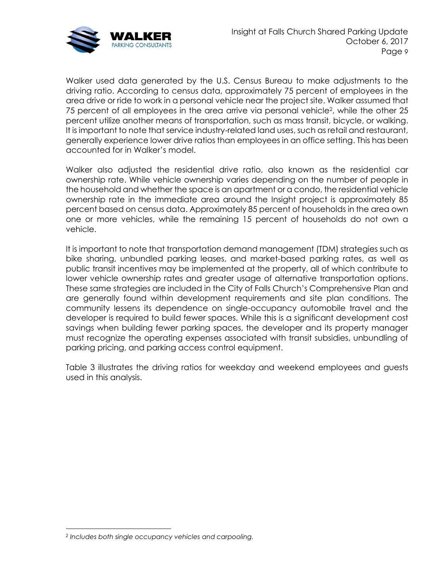

Walker used data generated by the U.S. Census Bureau to make adjustments to the driving ratio. According to census data, approximately 75 percent of employees in the area drive or ride to work in a personal vehicle near the project site. Walker assumed that 75 percent of all employees in the area arrive via personal vehicle<sup>2</sup>, while the other 25 percent utilize another means of transportation, such as mass transit, bicycle, or walking. It is important to note that service industry-related land uses, such as retail and restaurant, generally experience lower drive ratios than employees in an office setting. This has been accounted for in Walker's model.

Walker also adjusted the residential drive ratio, also known as the residential car ownership rate. While vehicle ownership varies depending on the number of people in the household and whether the space is an apartment or a condo, the residential vehicle ownership rate in the immediate area around the Insight project is approximately 85 percent based on census data. Approximately 85 percent of households in the area own one or more vehicles, while the remaining 15 percent of households do not own a vehicle.

It is important to note that transportation demand management (TDM) strategies such as bike sharing, unbundled parking leases, and market-based parking rates, as well as public transit incentives may be implemented at the property, all of which contribute to lower vehicle ownership rates and greater usage of alternative transportation options. These same strategies are included in the City of Falls Church's Comprehensive Plan and are generally found within development requirements and site plan conditions. The community lessens its dependence on single-occupancy automobile travel and the developer is required to build fewer spaces. While this is a significant development cost savings when building fewer parking spaces, the developer and its property manager must recognize the operating expenses associated with transit subsidies, unbundling of parking pricing, and parking access control equipment.

[Table 3](#page-9-0) illustrates the driving ratios for weekday and weekend employees and guests used in this analysis.

*<sup>2</sup> Includes both single occupancy vehicles and carpooling.*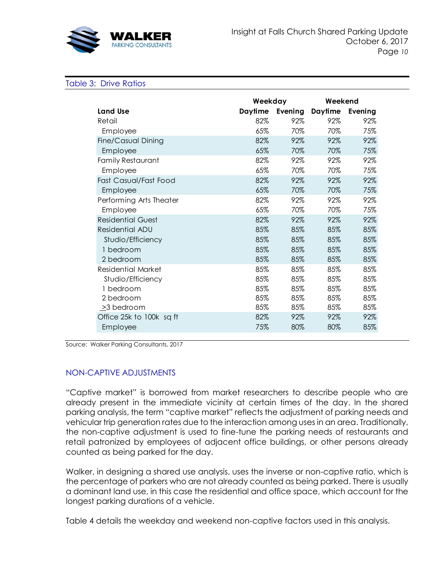

#### <span id="page-9-0"></span>Table 3: Drive Ratios

|                           | Weekday        |         | Weekend        |         |  |
|---------------------------|----------------|---------|----------------|---------|--|
| <b>Land Use</b>           | <b>Daytime</b> | Evening | <b>Daytime</b> | Evening |  |
| Retail                    | 82%            | 92%     | 92%            | 92%     |  |
| Employee                  | 65%            | 70%     | 70%            | 75%     |  |
| Fine/Casual Dining        | 82%            | 92%     | 92%            | 92%     |  |
| Employee                  | 65%            | 70%     | 70%            | 75%     |  |
| Family Restaurant         | 82%            | 92%     | 92%            | 92%     |  |
| Employee                  | 65%            | 70%     | 70%            | 75%     |  |
| Fast Casual/Fast Food     | 82%            | 92%     | 92%            | 92%     |  |
| Employee                  | 65%            | 70%     | 70%            | 75%     |  |
| Performing Arts Theater   | 82%            | 92%     | 92%            | 92%     |  |
| Employee                  | 65%            | 70%     | 70%            | 75%     |  |
| <b>Residential Guest</b>  | 82%            | 92%     | 92%            | 92%     |  |
| <b>Residential ADU</b>    | 85%            | 85%     | 85%            | 85%     |  |
| Studio/Efficiency         | 85%            | 85%     | 85%            | 85%     |  |
| 1 bedroom                 | 85%            | 85%     | 85%            | 85%     |  |
| 2 bedroom                 | 85%            | 85%     | 85%            | 85%     |  |
| <b>Residential Market</b> | 85%            | 85%     | 85%            | 85%     |  |
| Studio/Efficiency         | 85%            | 85%     | 85%            | 85%     |  |
| 1 bedroom                 | 85%            | 85%     | 85%            | 85%     |  |
| 2 bedroom                 | 85%            | 85%     | 85%            | 85%     |  |
| >3 bedroom                | 85%            | 85%     | 85%            | 85%     |  |
| Office 25k to 100k sq ft  | 82%            | 92%     | 92%            | 92%     |  |
| Employee                  | 75%            | 80%     | 80%            | 85%     |  |

Source: Walker Parking Consultants, 2017

## NON-CAPTIVE ADJUSTMENTS

"Captive market" is borrowed from market researchers to describe people who are already present in the immediate vicinity at certain times of the day. In the shared parking analysis, the term "captive market" reflects the adjustment of parking needs and vehicular trip generation rates due to the interaction among uses in an area. Traditionally, the non-captive adjustment is used to fine-tune the parking needs of restaurants and retail patronized by employees of adjacent office buildings, or other persons already counted as being parked for the day.

Walker, in designing a shared use analysis, uses the inverse or non-captive ratio, which is the percentage of parkers who are not already counted as being parked. There is usually a dominant land use, in this case the residential and office space, which account for the longest parking durations of a vehicle.

[Table 4](#page-10-0) details the weekday and weekend non-captive factors used in this analysis.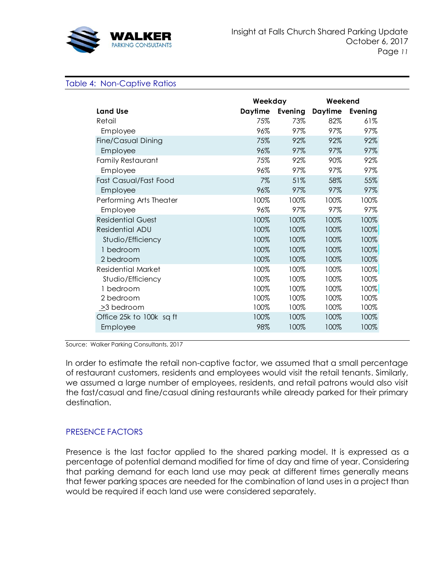

### <span id="page-10-0"></span>Table 4: Non-Captive Ratios

|                           | Weekday |         | Weekend        |         |  |
|---------------------------|---------|---------|----------------|---------|--|
| <b>Land Use</b>           | Daytime | Evening | <b>Daytime</b> | Evening |  |
| Retail                    | 75%     | 73%     | 82%            | 61%     |  |
| Employee                  | 96%     | 97%     | 97%            | 97%     |  |
| Fine/Casual Dining        | 75%     | 92%     | 92%            | 92%     |  |
| Employee                  | 96%     | 97%     | 97%            | 97%     |  |
| Family Restaurant         | 75%     | 92%     | 90%            | 92%     |  |
| Employee                  | 96%     | 97%     | 97%            | 97%     |  |
| Fast Casual/Fast Food     | 7%      | 51%     | 58%            | 55%     |  |
| Employee                  | 96%     | 97%     | 97%            | 97%     |  |
| Performing Arts Theater   | 100%    | 100%    | 100%           | 100%    |  |
| Employee                  | 96%     | 97%     | 97%            | 97%     |  |
| <b>Residential Guest</b>  | 100%    | 100%    | 100%           | 100%    |  |
| Residential ADU           | 100%    | 100%    | 100%           | 100%    |  |
| Studio/Efficiency         | 100%    | 100%    | 100%           | 100%    |  |
| 1 bedroom                 | 100%    | 100%    | 100%           | 100%    |  |
| 2 bedroom                 | 100%    | 100%    | 100%           | 100%    |  |
| <b>Residential Market</b> | 100%    | 100%    | 100%           | 100%    |  |
| Studio/Efficiency         | 100%    | 100%    | 100%           | 100%    |  |
| 1 bedroom                 | 100%    | 100%    | 100%           | 100%    |  |
| 2 bedroom                 | 100%    | 100%    | 100%           | 100%    |  |
| >3 bedroom                | 100%    | 100%    | 100%           | 100%    |  |
| Office 25k to 100k sq ft  | 100%    | 100%    | 100%           | 100%    |  |
| Employee                  | 98%     | 100%    | 100%           | 100%    |  |
|                           |         |         |                |         |  |

Source: Walker Parking Consultants, 2017

In order to estimate the retail non-captive factor, we assumed that a small percentage of restaurant customers, residents and employees would visit the retail tenants. Similarly, we assumed a large number of employees, residents, and retail patrons would also visit the fast/casual and fine/casual dining restaurants while already parked for their primary destination.

### PRESENCE FACTORS

Presence is the last factor applied to the shared parking model. It is expressed as a percentage of potential demand modified for time of day and time of year. Considering that parking demand for each land use may peak at different times generally means that fewer parking spaces are needed for the combination of land uses in a project than would be required if each land use were considered separately.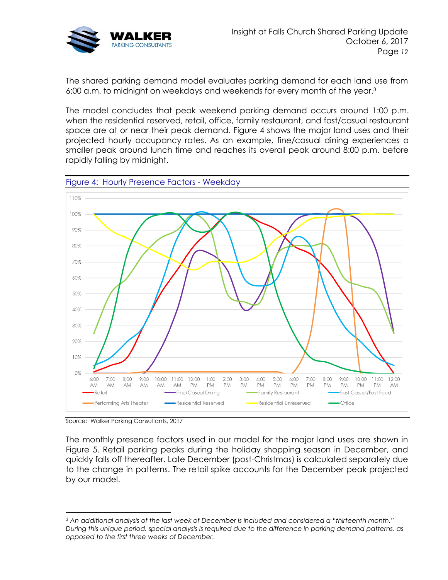

The shared parking demand model evaluates parking demand for each land use from 6:00 a.m. to midnight on weekdays and weekends for every month of the year.<sup>3</sup>

The model concludes that peak weekend parking demand occurs around 1:00 p.m. when the residential reserved, retail, office, family restaurant, and fast/casual restaurant space are at or near their peak demand. [Figure 4](#page-11-0) shows the major land uses and their projected hourly occupancy rates. As an example, fine/casual dining experiences a smaller peak around lunch time and reaches its overall peak around 8:00 p.m. before rapidly falling by midnight.

<span id="page-11-0"></span>

Source: Walker Parking Consultants, 2017

The monthly presence factors used in our model for the major land uses are shown in [Figure 5.](#page-12-0) Retail parking peaks during the holiday shopping season in December, and quickly falls off thereafter. Late December (post-Christmas) is calculated separately due to the change in patterns. The retail spike accounts for the December peak projected by our model.

*<sup>3</sup> An additional analysis of the last week of December is included and considered a "thirteenth month." During this unique period, special analysis is required due to the difference in parking demand patterns, as opposed to the first three weeks of December.*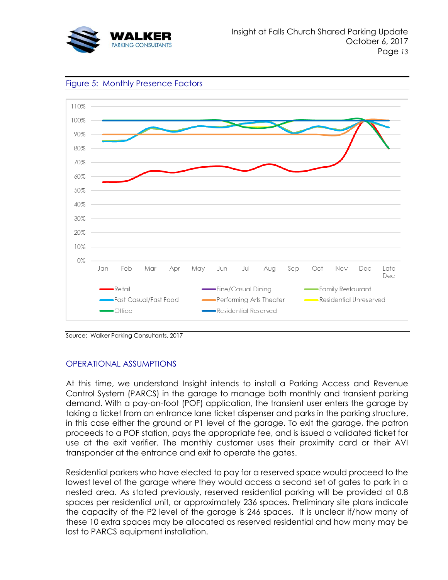



<span id="page-12-0"></span>Figure 5: Monthly Presence Factors

Source: Walker Parking Consultants, 2017

### OPERATIONAL ASSUMPTIONS

At this time, we understand Insight intends to install a Parking Access and Revenue Control System (PARCS) in the garage to manage both monthly and transient parking demand. With a pay-on-foot (POF) application, the transient user enters the garage by taking a ticket from an entrance lane ticket dispenser and parks in the parking structure, in this case either the ground or P1 level of the garage. To exit the garage, the patron proceeds to a POF station, pays the appropriate fee, and is issued a validated ticket for use at the exit verifier. The monthly customer uses their proximity card or their AVI transponder at the entrance and exit to operate the gates.

Residential parkers who have elected to pay for a reserved space would proceed to the lowest level of the garage where they would access a second set of gates to park in a nested area. As stated previously, reserved residential parking will be provided at 0.8 spaces per residential unit, or approximately 236 spaces. Preliminary site plans indicate the capacity of the P2 level of the garage is 246 spaces. It is unclear if/how many of these 10 extra spaces may be allocated as reserved residential and how many may be lost to PARCS equipment installation.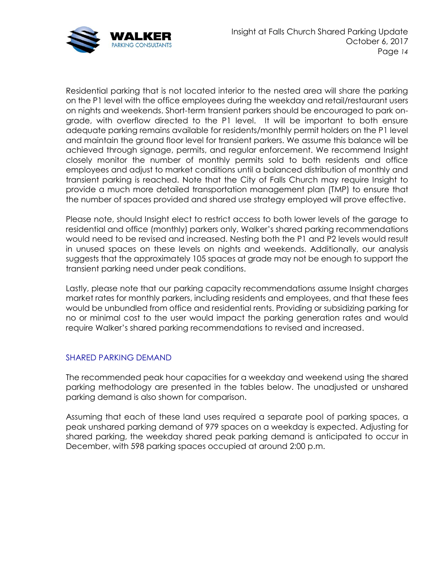

Residential parking that is not located interior to the nested area will share the parking on the P1 level with the office employees during the weekday and retail/restaurant users on nights and weekends. Short-term transient parkers should be encouraged to park ongrade, with overflow directed to the P1 level. It will be important to both ensure adequate parking remains available for residents/monthly permit holders on the P1 level and maintain the ground floor level for transient parkers. We assume this balance will be achieved through signage, permits, and regular enforcement. We recommend Insight closely monitor the number of monthly permits sold to both residents and office employees and adjust to market conditions until a balanced distribution of monthly and transient parking is reached. Note that the City of Falls Church may require Insight to provide a much more detailed transportation management plan (TMP) to ensure that the number of spaces provided and shared use strategy employed will prove effective.

Please note, should Insight elect to restrict access to both lower levels of the garage to residential and office (monthly) parkers only, Walker's shared parking recommendations would need to be revised and increased. Nesting both the P1 and P2 levels would result in unused spaces on these levels on nights and weekends. Additionally, our analysis suggests that the approximately 105 spaces at grade may not be enough to support the transient parking need under peak conditions.

Lastly, please note that our parking capacity recommendations assume Insight charges market rates for monthly parkers, including residents and employees, and that these fees would be unbundled from office and residential rents. Providing or subsidizing parking for no or minimal cost to the user would impact the parking generation rates and would require Walker's shared parking recommendations to revised and increased.

## SHARED PARKING DEMAND

The recommended peak hour capacities for a weekday and weekend using the shared parking methodology are presented in the tables below. The unadjusted or unshared parking demand is also shown for comparison.

Assuming that each of these land uses required a separate pool of parking spaces, a peak unshared parking demand of 979 spaces on a weekday is expected. Adjusting for shared parking, the weekday shared peak parking demand is anticipated to occur in December, with 598 parking spaces occupied at around 2:00 p.m.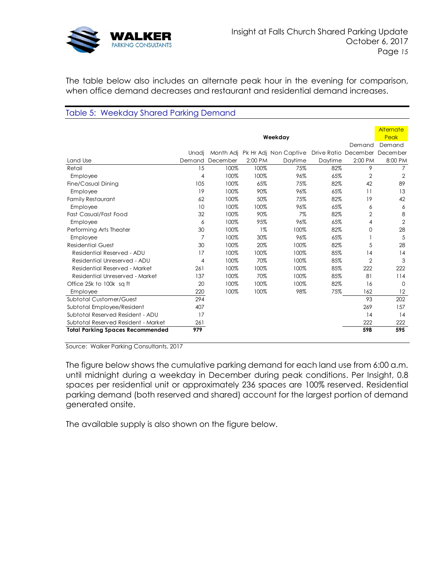

The table below also includes an alternate peak hour in the evening for comparison, when office demand decreases and restaurant and residential demand increases.

### Table 5: Weekday Shared Parking Demand

|                                         |                |          |         |                                 |         |                               | Alternate      |
|-----------------------------------------|----------------|----------|---------|---------------------------------|---------|-------------------------------|----------------|
|                                         | Weekday        |          |         |                                 |         | Peak                          |                |
|                                         |                |          |         |                                 |         | Demand                        | Demand         |
|                                         | Unadi          |          |         | Month Adj Pk Hr Adj Non Captive |         | Drive Ratio December December |                |
| Land Use                                | Demand         | December | 2:00 PM | Daytime                         | Daytime | 2:00 PM                       | 8:00 PM        |
| Retail                                  | 15             | 100%     | 100%    | 75%                             | 82%     | 9                             | 7              |
| Employee                                | 4              | 100%     | 100%    | 96%                             | 65%     | $\overline{2}$                | $\overline{2}$ |
| Fine/Casual Dining                      | 105            | 100%     | 65%     | 75%                             | 82%     | 42                            | 89             |
| Employee                                | 19             | 100%     | 90%     | 96%                             | 65%     | 11                            | 13             |
| <b>Family Restaurant</b>                | 62             | 100%     | 50%     | 75%                             | 82%     | 19                            | 42             |
| Employee                                | 10             | 100%     | 100%    | 96%                             | 65%     | 6                             | 6              |
| <b>Fast Casual/Fast Food</b>            | 32             | 100%     | 90%     | 7%                              | 82%     | $\overline{2}$                | 8              |
| Employee                                | 6              | 100%     | 95%     | 96%                             | 65%     | 4                             | $\overline{2}$ |
| Performing Arts Theater                 | 30             | 100%     | $1\%$   | 100%                            | 82%     | $\Omega$                      | 28             |
| Employee                                | $\overline{7}$ | 100%     | 30%     | 96%                             | 65%     |                               | 5              |
| <b>Residential Guest</b>                | 30             | 100%     | 20%     | 100%                            | 82%     | 5                             | 28             |
| Residential Reserved - ADU              | 17             | 100%     | 100%    | 100%                            | 85%     | 14                            | 14             |
| Residential Unreserved - ADU            | 4              | 100%     | 70%     | 100%                            | 85%     | $\overline{2}$                | 3              |
| Residential Reserved - Market           | 261            | 100%     | 100%    | 100%                            | 85%     | 222                           | 222            |
| Residential Unreserved - Market         | 137            | 100%     | 70%     | 100%                            | 85%     | 81                            | 114            |
| Office 25k to 100k sq ft                | 20             | 100%     | 100%    | 100%                            | 82%     | 16                            | $\Omega$       |
| Employee                                | 220            | 100%     | 100%    | 98%                             | 75%     | 162                           | 12             |
| Subtotal Customer/Guest                 | 294            |          |         |                                 |         | 93                            | 202            |
| Subtotal Employee/Resident              | 407            |          |         |                                 |         | 269                           | 157            |
| Subtotal Reserved Resident - ADU        | 17             |          |         |                                 |         | 14                            | 14             |
| Subtotal Reserved Resident - Market     | 261            |          |         |                                 |         | 222                           | 222            |
| <b>Total Parking Spaces Recommended</b> | 979            |          |         |                                 |         | 598                           | 595            |
|                                         |                |          |         |                                 |         |                               |                |

Source: Walker Parking Consultants, 2017

The figure below shows the cumulative parking demand for each land use from 6:00 a.m. until midnight during a weekday in December during peak conditions. Per Insight, 0.8 spaces per residential unit or approximately 236 spaces are 100% reserved. Residential parking demand (both reserved and shared) account for the largest portion of demand generated onsite.

The available supply is also shown on the figure below.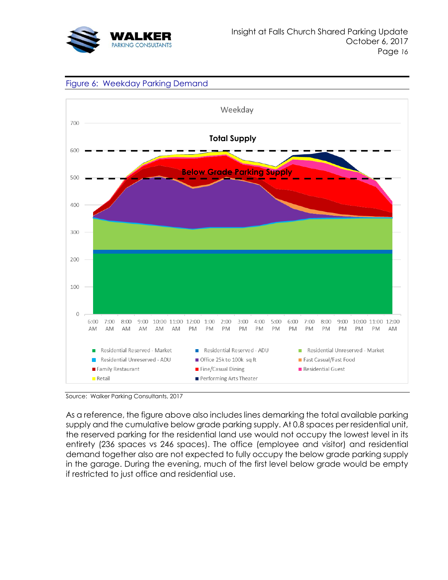





Source: Walker Parking Consultants, 2017

As a reference, the figure above also includes lines demarking the total available parking supply and the cumulative below grade parking supply. At 0.8 spaces per residential unit, the reserved parking for the residential land use would not occupy the lowest level in its entirety (236 spaces vs 246 spaces). The office (employee and visitor) and residential demand together also are not expected to fully occupy the below grade parking supply in the garage. During the evening, much of the first level below grade would be empty if restricted to just office and residential use.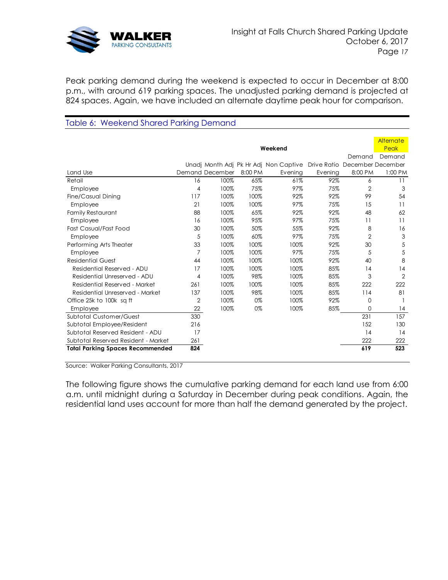

Peak parking demand during the weekend is expected to occur in December at 8:00 p.m., with around 619 parking spaces. The unadjusted parking demand is projected at 824 spaces. Again, we have included an alternate daytime peak hour for comparison.

# Table 6: Weekend Shared Parking Demand

|                                         |                |                 |         |                                       |                               |                | Alternate       |
|-----------------------------------------|----------------|-----------------|---------|---------------------------------------|-------------------------------|----------------|-----------------|
|                                         |                |                 |         | Weekend                               |                               |                | Peak            |
|                                         |                |                 |         |                                       |                               | Demand         | Demand          |
|                                         |                |                 |         | Unadj Month Adj Pk Hr Adj Non Captive | Drive Ratio December December |                |                 |
| Land Use                                |                | Demand December | 8:00 PM | Evening                               | Evening                       | 8:00 PM        | 1:00 PM         |
| Retail                                  | 16             | 100%            | 65%     | 61%                                   | 92%                           | 6              | 11              |
| Employee                                | 4              | 100%            | 75%     | 97%                                   | 75%                           | $\overline{2}$ | 3               |
| Fine/Casual Dining                      | 117            | 100%            | 100%    | 92%                                   | 92%                           | 99             | 54              |
| Employee                                | 21             | 100%            | 100%    | 97%                                   | 75%                           | 15             | $\overline{11}$ |
| Family Restaurant                       | 88             | 100%            | 65%     | 92%                                   | 92%                           | 48             | 62              |
| Employee                                | 16             | 100%            | 95%     | 97%                                   | 75%                           | 11             | 11              |
| Fast Casual/Fast Food                   | 30             | 100%            | 50%     | 55%                                   | 92%                           | 8              | 16              |
| Employee                                | 5              | 100%            | 60%     | 97%                                   | 75%                           | $\overline{2}$ | 3               |
| Performing Arts Theater                 | 33             | 100%            | 100%    | 100%                                  | 92%                           | 30             | 5               |
| Employee                                | 7              | 100%            | 100%    | 97%                                   | 75%                           | 5              | 5               |
| <b>Residential Guest</b>                | 44             | 100%            | 100%    | 100%                                  | 92%                           | 40             | 8               |
| Residential Reserved - ADU              | 17             | 100%            | 100%    | 100%                                  | 85%                           | 14             | 14              |
| Residential Unreserved - ADU            | 4              | 100%            | 98%     | 100%                                  | 85%                           | 3              | $\overline{2}$  |
| Residential Reserved - Market           | 261            | 100%            | 100%    | 100%                                  | 85%                           | 222            | 222             |
| Residential Unreserved - Market         | 137            | 100%            | 98%     | 100%                                  | 85%                           | 114            | 81              |
| Office 25k to 100k sq ft                | $\overline{2}$ | 100%            | 0%      | 100%                                  | 92%                           | 0              |                 |
| Employee                                | 22             | 100%            | 0%      | 100%                                  | 85%                           | $\Omega$       | 14              |
| <b>Subtotal Customer/Guest</b>          | 330            |                 |         |                                       |                               | 231            | 157             |
| Subtotal Employee/Resident              | 216            |                 |         |                                       |                               | 152            | 130             |
| Subtotal Reserved Resident - ADU        | 17             |                 |         |                                       |                               | 14             | 14              |
| Subtotal Reserved Resident - Market     | 261            |                 |         |                                       |                               | 222            | 222             |
| <b>Total Parking Spaces Recommended</b> | 824            |                 |         |                                       |                               | 619            | 523             |

Source: Walker Parking Consultants, 2017

The following figure shows the cumulative parking demand for each land use from 6:00 a.m. until midnight during a Saturday in December during peak conditions. Again, the residential land uses account for more than half the demand generated by the project.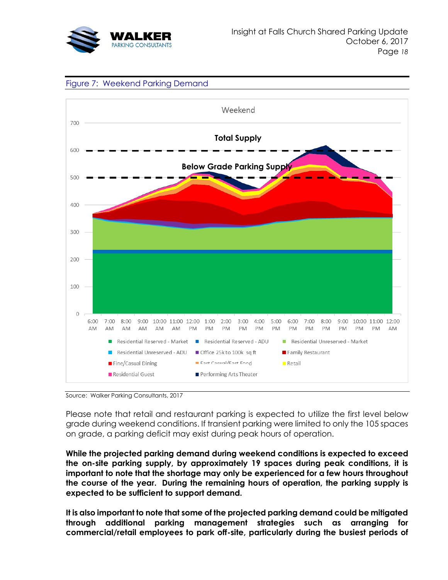





Source: Walker Parking Consultants, 2017

Please note that retail and restaurant parking is expected to utilize the first level below grade during weekend conditions. If transient parking were limited to only the 105 spaces on grade, a parking deficit may exist during peak hours of operation.

**While the projected parking demand during weekend conditions is expected to exceed the on-site parking supply, by approximately 19 spaces during peak conditions, it is important to note that the shortage may only be experienced for a few hours throughout the course of the year. During the remaining hours of operation, the parking supply is expected to be sufficient to support demand.** 

**It is also important to note that some of the projected parking demand could be mitigated through additional parking management strategies such as arranging for commercial/retail employees to park off-site, particularly during the busiest periods of**